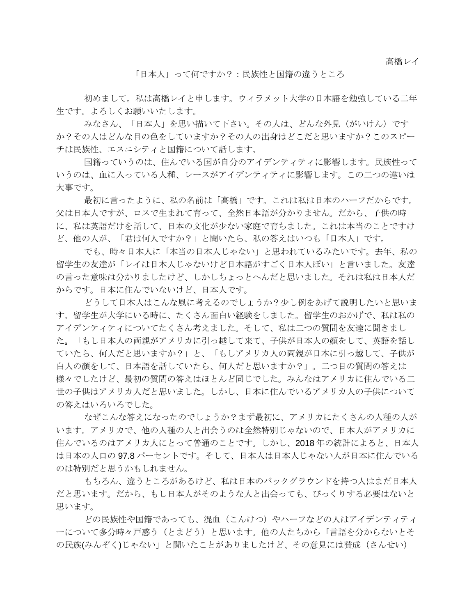高橋レイ

## 「日本人」って何ですか?:民族性と国籍の違うところ

初めまして。私は高橋レイと申します。ウィラメット大学の日本語を勉強している二年 生です。よろしくお願いいたします。

みなさん、「日本人」を思い描いて下さい。その人は、どんな外見(がいけん)です か?その人はどんな目の色をしていますか?その人の出身はどこだと思いますか?このスピー チは民族性、エスニシティと国籍について話します。

国籍っていうのは、住んでいる国が自分のアイデンティティに影響します。民族性って いうのは、血に入っている人種、レースがアイデンティティに影響します。この二つの違いは 大事です。

最初に言ったように、私の名前は「高橋」です。これは私は日本のハーフだからです。 父は日本人ですが、ロスで生まれて育って、全然日本語が分かりません。だから、子供の時 に、私は英語だけを話して、日本の文化が少ない家庭で育ちました。これは本当のことですけ ど、他の人が、「君は何人ですか?」と聞いたら、私の答えはいつも「日本人」です。

でも、時々日本人に「本当の日本人じゃない」と思われているみたいです。去年、私の 留学生の友達が「レイは日本人じゃないけど日本語がすごく日本人ぽい」と言いました。友達 の言った意味は分かりましたけど、しかしちょっとへんだと思いました。それは私は日本人だ からです。日本に住んでいないけど、日本人です。

どうして日本人はこんな風に考えるのでしょうか?少し例をあげて説明したいと思いま す。留学生が大学にいる時に、たくさん面白い経験をしました。留学生のおかげで、私は私の アイデンティティについてたくさん考えました。そして、私は二つの質問を友達に聞きまし た。「もし日本人の両親がアメリカに引っ越して来て、子供が日本人の顔をして、英語を話し ていたら、何人だと思いますか?」と、「もしアメリカ人の両親が日本に引っ越して、子供が 白人の顔をして、日本語を話していたら、何人だと思いますか?」。二つ目の質問の答えは 様々でしたけど、最初の質問の答えはほとんど同じでした。みんなはアメリカに住んでいる二 世の子供はアメリカ人だと思いました。しかし、日本に住んでいるアメリカ人の子供について の答えはいろいろでした。

なぜこんな答えになったのでしょうか?まず最初に、アメリカにたくさんの人種の人が います。アメリカで、他の人種の人と出会うのは全然特別じゃないので、日本人がアメリカに 住んでいるのはアメリカ人にとって普通のことです。しかし、2018 年の統計によると、日本人 は日本の人口の 97.8 パーセントです。そして、日本人は日本人じゃない人が日本に住んでいる のは特別だと思うかもしれません。

もちろん、違うところがあるけど、私は日本のバックグラウンドを持つ人はまだ日本人 だと思います。だから、もし日本人がそのような人と出会っても、びっくりする必要はないと 思います。

どの民族性や国籍であっても、混血(こんけつ)やハーフなどの人はアイデンティティ ーについて多分時々戸惑う(とまどう)と思います。他の人たちから「言語を分からないとそ の民族(みんぞく)じゃない」と聞いたことがありましたけど、その意見には賛成(さんせい)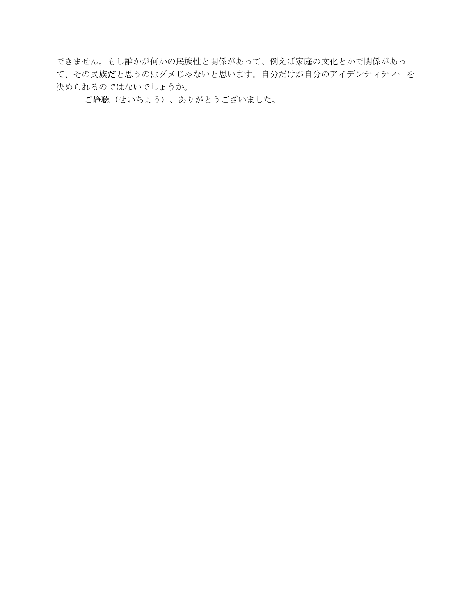できません。もし誰かが何かの民族性と関係があって、例えば家庭の文化とかで関係があっ て、その民族だと思うのはダメじゃないと思います。自分だけが自分のアイデンティティーを 決められるのではないでしょうか。

ご静聴(せいちょう)、ありがとうございました。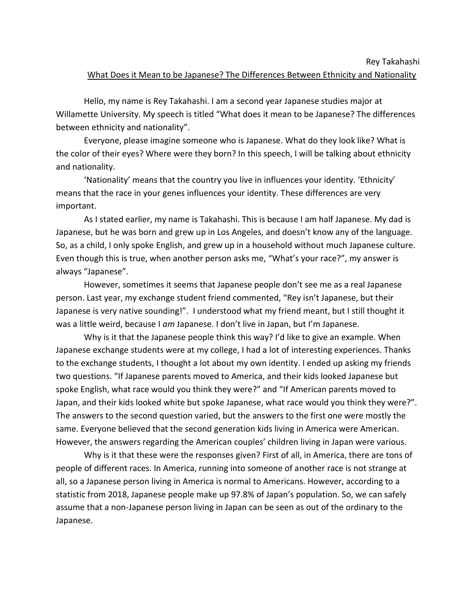## What Does it Mean to be Japanese? The Differences Between Ethnicity and Nationality

Hello, my name is Rey Takahashi. I am a second year Japanese studies major at Willamette University. My speech is titled "What does it mean to be Japanese? The differences between ethnicity and nationality".

Everyone, please imagine someone who is Japanese. What do they look like? What is the color of their eyes? Where were they born? In this speech, I will be talking about ethnicity and nationality.

'Nationality' means that the country you live in influences your identity. 'Ethnicity' means that the race in your genes influences your identity. These differences are very important.

As I stated earlier, my name is Takahashi. This is because I am half Japanese. My dad is Japanese, but he was born and grew up in Los Angeles, and doesn't know any of the language. So, as a child, I only spoke English, and grew up in a household without much Japanese culture. Even though this is true, when another person asks me, "What's your race?", my answer is always "Japanese".

However, sometimes it seems that Japanese people don't see me as a real Japanese person. Last year, my exchange student friend commented, "Rey isn't Japanese, but their Japanese is very native sounding!". I understood what my friend meant, but I still thought it was a little weird, because I *am* Japanese. I don't live in Japan, but I'm Japanese.

Why is it that the Japanese people think this way? I'd like to give an example. When Japanese exchange students were at my college, I had a lot of interesting experiences. Thanks to the exchange students, I thought a lot about my own identity. I ended up asking my friends two questions. "If Japanese parents moved to America, and their kids looked Japanese but spoke English, what race would you think they were?" and "If American parents moved to Japan, and their kids looked white but spoke Japanese, what race would you think they were?". The answers to the second question varied, but the answers to the first one were mostly the same. Everyone believed that the second generation kids living in America were American. However, the answers regarding the American couples' children living in Japan were various.

Why is it that these were the responses given? First of all, in America, there are tons of people of different races. In America, running into someone of another race is not strange at all, so a Japanese person living in America is normal to Americans. However, according to a statistic from 2018, Japanese people make up 97.8% of Japan's population. So, we can safely assume that a non-Japanese person living in Japan can be seen as out of the ordinary to the Japanese.